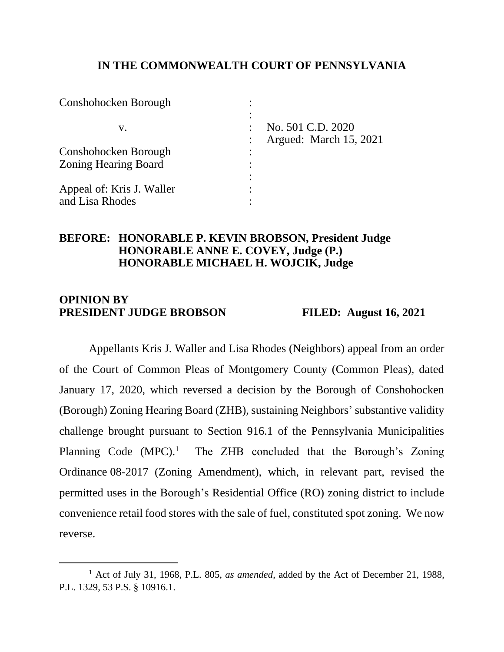## **IN THE COMMONWEALTH COURT OF PENNSYLVANIA**

| Conshohocken Borough        |                        |
|-----------------------------|------------------------|
| v.                          | No. 501 C.D. 2020      |
|                             | Argued: March 15, 2021 |
| Conshohocken Borough        |                        |
| <b>Zoning Hearing Board</b> |                        |
|                             |                        |
| Appeal of: Kris J. Waller   |                        |
| and Lisa Rhodes             |                        |

## **BEFORE: HONORABLE P. KEVIN BROBSON, President Judge HONORABLE ANNE E. COVEY, Judge (P.) HONORABLE MICHAEL H. WOJCIK, Judge**

## **OPINION BY PRESIDENT JUDGE BROBSON FILED: August 16, 2021**

Appellants Kris J. Waller and Lisa Rhodes (Neighbors) appeal from an order of the Court of Common Pleas of Montgomery County (Common Pleas), dated January 17, 2020, which reversed a decision by the Borough of Conshohocken (Borough) Zoning Hearing Board (ZHB), sustaining Neighbors' substantive validity challenge brought pursuant to Section 916.1 of the Pennsylvania Municipalities Planning Code  $(MPC)^1$ . The ZHB concluded that the Borough's Zoning Ordinance 08-2017 (Zoning Amendment), which, in relevant part, revised the permitted uses in the Borough's Residential Office (RO) zoning district to include convenience retail food stores with the sale of fuel, constituted spot zoning. We now reverse.

<sup>1</sup> Act of July 31, 1968, P.L. 805, *as amended*, added by the Act of December 21, 1988, P.L. 1329, 53 P.S. § 10916.1.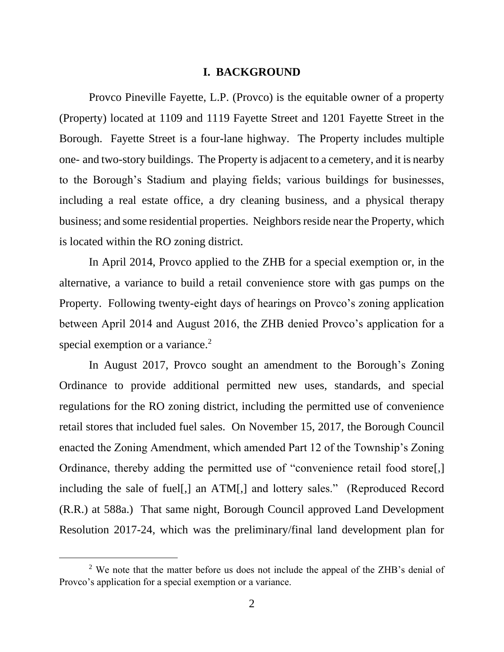#### **I. BACKGROUND**

Provco Pineville Fayette, L.P. (Provco) is the equitable owner of a property (Property) located at 1109 and 1119 Fayette Street and 1201 Fayette Street in the Borough. Fayette Street is a four-lane highway. The Property includes multiple one- and two-story buildings. The Property is adjacent to a cemetery, and it is nearby to the Borough's Stadium and playing fields; various buildings for businesses, including a real estate office, a dry cleaning business, and a physical therapy business; and some residential properties. Neighbors reside near the Property, which is located within the RO zoning district.

In April 2014, Provco applied to the ZHB for a special exemption or, in the alternative, a variance to build a retail convenience store with gas pumps on the Property. Following twenty-eight days of hearings on Provco's zoning application between April 2014 and August 2016, the ZHB denied Provco's application for a special exemption or a variance.<sup>2</sup>

In August 2017, Provco sought an amendment to the Borough's Zoning Ordinance to provide additional permitted new uses, standards, and special regulations for the RO zoning district, including the permitted use of convenience retail stores that included fuel sales. On November 15, 2017, the Borough Council enacted the Zoning Amendment, which amended Part 12 of the Township's Zoning Ordinance, thereby adding the permitted use of "convenience retail food store[,] including the sale of fuel[,] an ATM[,] and lottery sales." (Reproduced Record (R.R.) at 588a.) That same night, Borough Council approved Land Development Resolution 2017-24, which was the preliminary/final land development plan for

<sup>&</sup>lt;sup>2</sup> We note that the matter before us does not include the appeal of the ZHB's denial of Provco's application for a special exemption or a variance.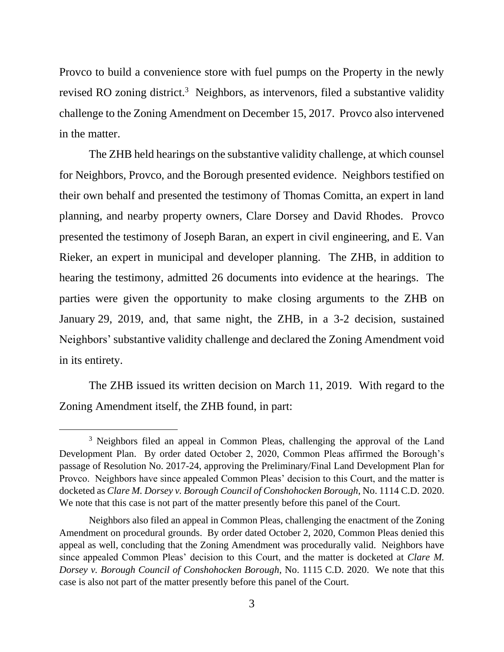Provco to build a convenience store with fuel pumps on the Property in the newly revised RO zoning district.<sup>3</sup> Neighbors, as intervenors, filed a substantive validity challenge to the Zoning Amendment on December 15, 2017. Provco also intervened in the matter.

The ZHB held hearings on the substantive validity challenge, at which counsel for Neighbors, Provco, and the Borough presented evidence. Neighbors testified on their own behalf and presented the testimony of Thomas Comitta, an expert in land planning, and nearby property owners, Clare Dorsey and David Rhodes. Provco presented the testimony of Joseph Baran, an expert in civil engineering, and E. Van Rieker, an expert in municipal and developer planning. The ZHB, in addition to hearing the testimony, admitted 26 documents into evidence at the hearings. The parties were given the opportunity to make closing arguments to the ZHB on January 29, 2019, and, that same night, the ZHB, in a 3-2 decision, sustained Neighbors' substantive validity challenge and declared the Zoning Amendment void in its entirety.

The ZHB issued its written decision on March 11, 2019. With regard to the Zoning Amendment itself, the ZHB found, in part:

<sup>&</sup>lt;sup>3</sup> Neighbors filed an appeal in Common Pleas, challenging the approval of the Land Development Plan. By order dated October 2, 2020, Common Pleas affirmed the Borough's passage of Resolution No. 2017-24, approving the Preliminary/Final Land Development Plan for Provco. Neighbors have since appealed Common Pleas' decision to this Court, and the matter is docketed as *Clare M. Dorsey v. Borough Council of Conshohocken Borough*, No. 1114 C.D. 2020. We note that this case is not part of the matter presently before this panel of the Court.

Neighbors also filed an appeal in Common Pleas, challenging the enactment of the Zoning Amendment on procedural grounds. By order dated October 2, 2020, Common Pleas denied this appeal as well, concluding that the Zoning Amendment was procedurally valid. Neighbors have since appealed Common Pleas' decision to this Court, and the matter is docketed at *Clare M. Dorsey v. Borough Council of Conshohocken Borough*, No. 1115 C.D. 2020. We note that this case is also not part of the matter presently before this panel of the Court.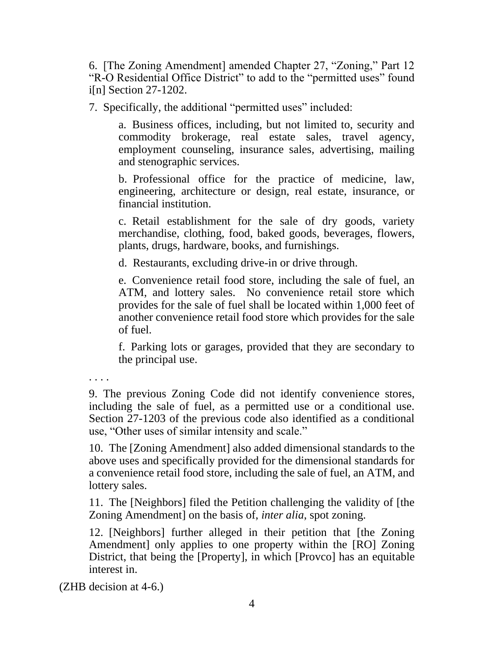6. [The Zoning Amendment] amended Chapter 27, "Zoning," Part 12 "R-O Residential Office District" to add to the "permitted uses" found i[n] Section 27-1202.

7. Specifically, the additional "permitted uses" included:

a. Business offices, including, but not limited to, security and commodity brokerage, real estate sales, travel agency, employment counseling, insurance sales, advertising, mailing and stenographic services.

b. Professional office for the practice of medicine, law, engineering, architecture or design, real estate, insurance, or financial institution.

c. Retail establishment for the sale of dry goods, variety merchandise, clothing, food, baked goods, beverages, flowers, plants, drugs, hardware, books, and furnishings.

d. Restaurants, excluding drive-in or drive through.

e. Convenience retail food store, including the sale of fuel, an ATM, and lottery sales. No convenience retail store which provides for the sale of fuel shall be located within 1,000 feet of another convenience retail food store which provides for the sale of fuel.

f. Parking lots or garages, provided that they are secondary to the principal use.

. . . .

9. The previous Zoning Code did not identify convenience stores, including the sale of fuel, as a permitted use or a conditional use. Section 27-1203 of the previous code also identified as a conditional use, "Other uses of similar intensity and scale."

10. The [Zoning Amendment] also added dimensional standards to the above uses and specifically provided for the dimensional standards for a convenience retail food store, including the sale of fuel, an ATM, and lottery sales.

11. The [Neighbors] filed the Petition challenging the validity of [the Zoning Amendment] on the basis of, *inter alia*, spot zoning.

12. [Neighbors] further alleged in their petition that [the Zoning Amendment] only applies to one property within the [RO] Zoning District, that being the [Property], in which [Provco] has an equitable interest in.

(ZHB decision at 4-6.)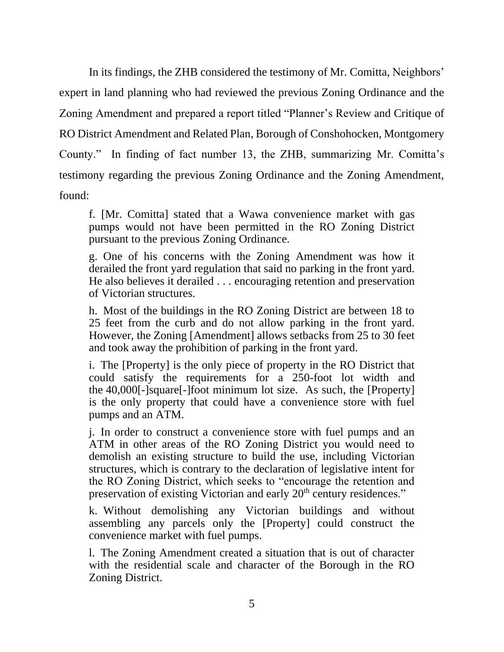In its findings, the ZHB considered the testimony of Mr. Comitta, Neighbors' expert in land planning who had reviewed the previous Zoning Ordinance and the Zoning Amendment and prepared a report titled "Planner's Review and Critique of RO District Amendment and Related Plan, Borough of Conshohocken, Montgomery County." In finding of fact number 13, the ZHB, summarizing Mr. Comitta's testimony regarding the previous Zoning Ordinance and the Zoning Amendment, found:

f. [Mr. Comitta] stated that a Wawa convenience market with gas pumps would not have been permitted in the RO Zoning District pursuant to the previous Zoning Ordinance.

g. One of his concerns with the Zoning Amendment was how it derailed the front yard regulation that said no parking in the front yard. He also believes it derailed . . . encouraging retention and preservation of Victorian structures.

h. Most of the buildings in the RO Zoning District are between 18 to 25 feet from the curb and do not allow parking in the front yard. However, the Zoning [Amendment] allows setbacks from 25 to 30 feet and took away the prohibition of parking in the front yard.

i. The [Property] is the only piece of property in the RO District that could satisfy the requirements for a 250-foot lot width and the 40,000[-]square[-]foot minimum lot size. As such, the [Property] is the only property that could have a convenience store with fuel pumps and an ATM.

j. In order to construct a convenience store with fuel pumps and an ATM in other areas of the RO Zoning District you would need to demolish an existing structure to build the use, including Victorian structures, which is contrary to the declaration of legislative intent for the RO Zoning District, which seeks to "encourage the retention and preservation of existing Victorian and early 20<sup>th</sup> century residences."

k. Without demolishing any Victorian buildings and without assembling any parcels only the [Property] could construct the convenience market with fuel pumps.

l. The Zoning Amendment created a situation that is out of character with the residential scale and character of the Borough in the RO Zoning District.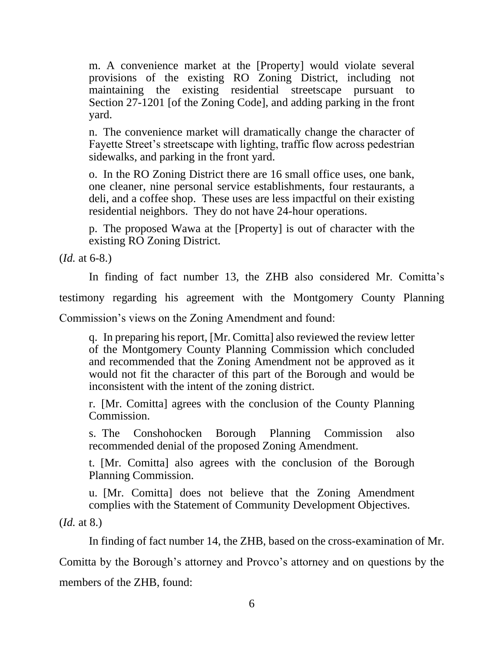m. A convenience market at the [Property] would violate several provisions of the existing RO Zoning District, including not maintaining the existing residential streetscape pursuant to Section 27-1201 [of the Zoning Code], and adding parking in the front yard.

n. The convenience market will dramatically change the character of Fayette Street's streetscape with lighting, traffic flow across pedestrian sidewalks, and parking in the front yard.

o. In the RO Zoning District there are 16 small office uses, one bank, one cleaner, nine personal service establishments, four restaurants, a deli, and a coffee shop. These uses are less impactful on their existing residential neighbors. They do not have 24-hour operations.

p. The proposed Wawa at the [Property] is out of character with the existing RO Zoning District.

(*Id.* at 6-8.)

In finding of fact number 13, the ZHB also considered Mr. Comitta's testimony regarding his agreement with the Montgomery County Planning Commission's views on the Zoning Amendment and found:

q. In preparing his report, [Mr. Comitta] also reviewed the review letter of the Montgomery County Planning Commission which concluded and recommended that the Zoning Amendment not be approved as it would not fit the character of this part of the Borough and would be inconsistent with the intent of the zoning district.

r. [Mr. Comitta] agrees with the conclusion of the County Planning Commission.

s. The Conshohocken Borough Planning Commission also recommended denial of the proposed Zoning Amendment.

t. [Mr. Comitta] also agrees with the conclusion of the Borough Planning Commission.

u. [Mr. Comitta] does not believe that the Zoning Amendment complies with the Statement of Community Development Objectives.

(*Id.* at 8.)

In finding of fact number 14, the ZHB, based on the cross-examination of Mr.

Comitta by the Borough's attorney and Provco's attorney and on questions by the members of the ZHB, found: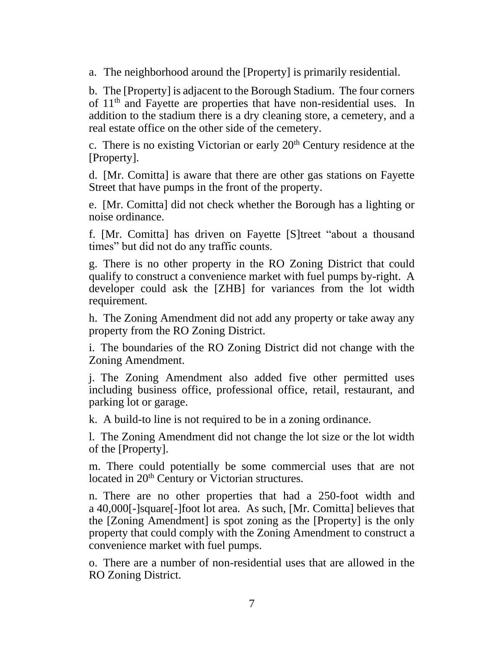a. The neighborhood around the [Property] is primarily residential.

b. The [Property] is adjacent to the Borough Stadium. The four corners of 11<sup>th</sup> and Fayette are properties that have non-residential uses. In addition to the stadium there is a dry cleaning store, a cemetery, and a real estate office on the other side of the cemetery.

c. There is no existing Victorian or early  $20<sup>th</sup>$  Century residence at the [Property].

d. [Mr. Comitta] is aware that there are other gas stations on Fayette Street that have pumps in the front of the property.

e. [Mr. Comitta] did not check whether the Borough has a lighting or noise ordinance.

f. [Mr. Comitta] has driven on Fayette [S]treet "about a thousand times" but did not do any traffic counts.

g. There is no other property in the RO Zoning District that could qualify to construct a convenience market with fuel pumps by-right. A developer could ask the [ZHB] for variances from the lot width requirement.

h. The Zoning Amendment did not add any property or take away any property from the RO Zoning District.

i. The boundaries of the RO Zoning District did not change with the Zoning Amendment.

j. The Zoning Amendment also added five other permitted uses including business office, professional office, retail, restaurant, and parking lot or garage.

k. A build-to line is not required to be in a zoning ordinance.

l. The Zoning Amendment did not change the lot size or the lot width of the [Property].

m. There could potentially be some commercial uses that are not located in 20<sup>th</sup> Century or Victorian structures.

n. There are no other properties that had a 250-foot width and a 40,000[-]square[-]foot lot area. As such, [Mr. Comitta] believes that the [Zoning Amendment] is spot zoning as the [Property] is the only property that could comply with the Zoning Amendment to construct a convenience market with fuel pumps.

o. There are a number of non-residential uses that are allowed in the RO Zoning District.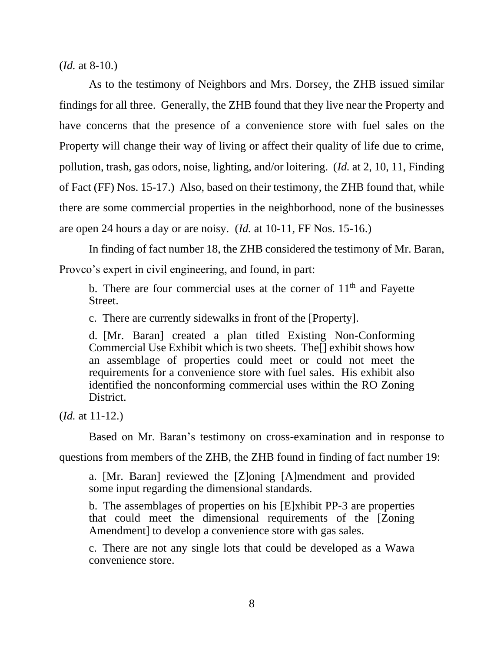(*Id.* at 8-10.)

As to the testimony of Neighbors and Mrs. Dorsey, the ZHB issued similar findings for all three. Generally, the ZHB found that they live near the Property and have concerns that the presence of a convenience store with fuel sales on the Property will change their way of living or affect their quality of life due to crime, pollution, trash, gas odors, noise, lighting, and/or loitering. (*Id.* at 2, 10, 11, Finding of Fact (FF) Nos. 15-17.) Also, based on their testimony, the ZHB found that, while there are some commercial properties in the neighborhood, none of the businesses are open 24 hours a day or are noisy. (*Id.* at 10-11, FF Nos. 15-16.)

In finding of fact number 18, the ZHB considered the testimony of Mr. Baran, Provco's expert in civil engineering, and found, in part:

b. There are four commercial uses at the corner of  $11<sup>th</sup>$  and Fayette Street.

c. There are currently sidewalks in front of the [Property].

d. [Mr. Baran] created a plan titled Existing Non-Conforming Commercial Use Exhibit which is two sheets. The[] exhibit shows how an assemblage of properties could meet or could not meet the requirements for a convenience store with fuel sales. His exhibit also identified the nonconforming commercial uses within the RO Zoning District.

(*Id.* at 11-12.)

Based on Mr. Baran's testimony on cross-examination and in response to

questions from members of the ZHB, the ZHB found in finding of fact number 19:

a. [Mr. Baran] reviewed the [Z]oning [A]mendment and provided some input regarding the dimensional standards.

b. The assemblages of properties on his [E]xhibit PP-3 are properties that could meet the dimensional requirements of the [Zoning Amendment] to develop a convenience store with gas sales.

c. There are not any single lots that could be developed as a Wawa convenience store.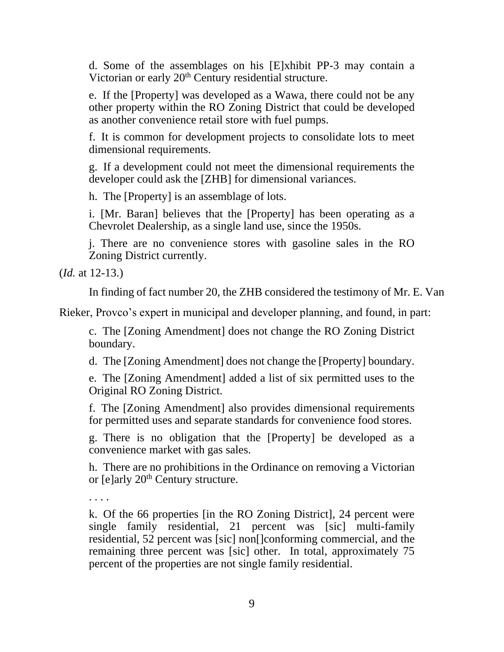d. Some of the assemblages on his [E]xhibit PP-3 may contain a Victorian or early 20<sup>th</sup> Century residential structure.

e. If the [Property] was developed as a Wawa, there could not be any other property within the RO Zoning District that could be developed as another convenience retail store with fuel pumps.

f. It is common for development projects to consolidate lots to meet dimensional requirements.

g. If a development could not meet the dimensional requirements the developer could ask the [ZHB] for dimensional variances.

h. The [Property] is an assemblage of lots.

i. [Mr. Baran] believes that the [Property] has been operating as a Chevrolet Dealership, as a single land use, since the 1950s.

j. There are no convenience stores with gasoline sales in the RO Zoning District currently.

(*Id.* at 12-13.)

In finding of fact number 20, the ZHB considered the testimony of Mr. E. Van

Rieker, Provco's expert in municipal and developer planning, and found, in part:

c. The [Zoning Amendment] does not change the RO Zoning District boundary.

d. The [Zoning Amendment] does not change the [Property] boundary.

e. The [Zoning Amendment] added a list of six permitted uses to the Original RO Zoning District.

f. The [Zoning Amendment] also provides dimensional requirements for permitted uses and separate standards for convenience food stores.

g. There is no obligation that the [Property] be developed as a convenience market with gas sales.

h. There are no prohibitions in the Ordinance on removing a Victorian or [e]arly 20<sup>th</sup> Century structure.

. . . .

k. Of the 66 properties [in the RO Zoning District], 24 percent were single family residential, 21 percent was [sic] multi-family residential, 52 percent was [sic] non[]conforming commercial, and the remaining three percent was [sic] other. In total, approximately 75 percent of the properties are not single family residential.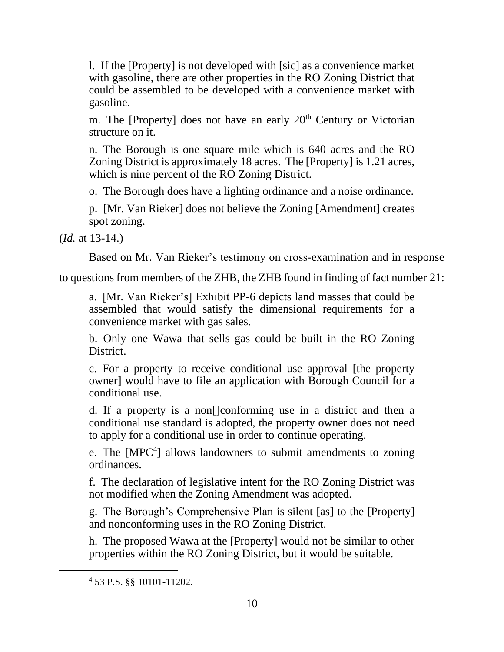l. If the [Property] is not developed with [sic] as a convenience market with gasoline, there are other properties in the RO Zoning District that could be assembled to be developed with a convenience market with gasoline.

m. The [Property] does not have an early  $20<sup>th</sup>$  Century or Victorian structure on it.

n. The Borough is one square mile which is 640 acres and the RO Zoning District is approximately 18 acres. The [Property] is 1.21 acres, which is nine percent of the RO Zoning District.

o. The Borough does have a lighting ordinance and a noise ordinance.

p. [Mr. Van Rieker] does not believe the Zoning [Amendment] creates spot zoning.

(*Id.* at 13-14.)

Based on Mr. Van Rieker's testimony on cross-examination and in response

to questions from members of the ZHB, the ZHB found in finding of fact number 21:

a. [Mr. Van Rieker's] Exhibit PP-6 depicts land masses that could be assembled that would satisfy the dimensional requirements for a convenience market with gas sales.

b. Only one Wawa that sells gas could be built in the RO Zoning District.

c. For a property to receive conditional use approval [the property owner] would have to file an application with Borough Council for a conditional use.

d. If a property is a non[]conforming use in a district and then a conditional use standard is adopted, the property owner does not need to apply for a conditional use in order to continue operating.

e. The [MPC<sup>4</sup>] allows landowners to submit amendments to zoning ordinances.

f. The declaration of legislative intent for the RO Zoning District was not modified when the Zoning Amendment was adopted.

g. The Borough's Comprehensive Plan is silent [as] to the [Property] and nonconforming uses in the RO Zoning District.

h. The proposed Wawa at the [Property] would not be similar to other properties within the RO Zoning District, but it would be suitable.

<sup>4</sup> 53 P.S. §§ 10101-11202.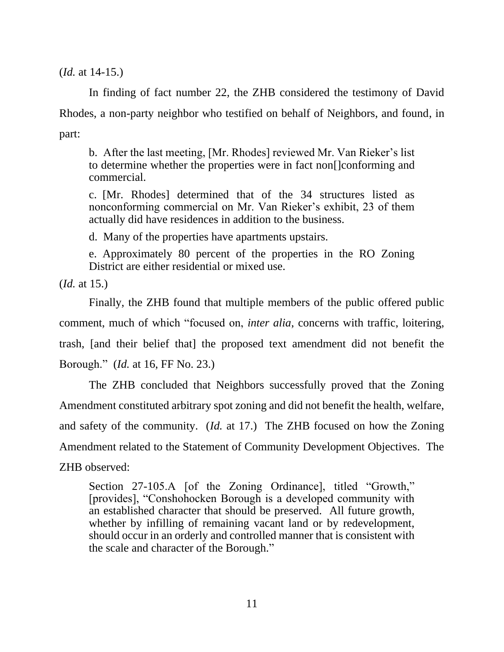(*Id.* at 14-15.)

In finding of fact number 22, the ZHB considered the testimony of David Rhodes, a non-party neighbor who testified on behalf of Neighbors, and found, in part:

b. After the last meeting, [Mr. Rhodes] reviewed Mr. Van Rieker's list to determine whether the properties were in fact non[]conforming and commercial.

c. [Mr. Rhodes] determined that of the 34 structures listed as nonconforming commercial on Mr. Van Rieker's exhibit, 23 of them actually did have residences in addition to the business.

d. Many of the properties have apartments upstairs.

e. Approximately 80 percent of the properties in the RO Zoning District are either residential or mixed use.

(*Id.* at 15.)

Finally, the ZHB found that multiple members of the public offered public comment, much of which "focused on, *inter alia*, concerns with traffic, loitering, trash, [and their belief that] the proposed text amendment did not benefit the Borough." (*Id.* at 16, FF No. 23.)

The ZHB concluded that Neighbors successfully proved that the Zoning Amendment constituted arbitrary spot zoning and did not benefit the health, welfare, and safety of the community. (*Id.* at 17.) The ZHB focused on how the Zoning Amendment related to the Statement of Community Development Objectives. The ZHB observed:

Section 27-105.A [of the Zoning Ordinance], titled "Growth," [provides], "Conshohocken Borough is a developed community with an established character that should be preserved. All future growth, whether by infilling of remaining vacant land or by redevelopment, should occur in an orderly and controlled manner that is consistent with the scale and character of the Borough."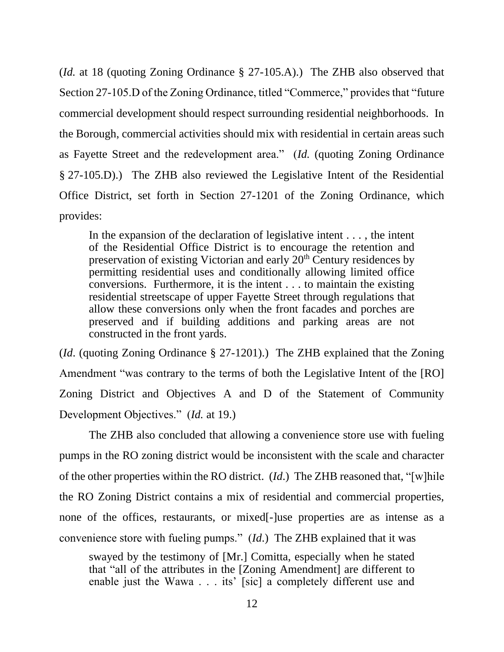(*Id.* at 18 (quoting Zoning Ordinance § 27-105.A).) The ZHB also observed that Section 27-105.D of the Zoning Ordinance, titled "Commerce," provides that "future commercial development should respect surrounding residential neighborhoods. In the Borough, commercial activities should mix with residential in certain areas such as Fayette Street and the redevelopment area." (*Id.* (quoting Zoning Ordinance § 27-105.D).) The ZHB also reviewed the Legislative Intent of the Residential Office District, set forth in Section 27-1201 of the Zoning Ordinance, which provides:

In the expansion of the declaration of legislative intent . . . , the intent of the Residential Office District is to encourage the retention and preservation of existing Victorian and early 20<sup>th</sup> Century residences by permitting residential uses and conditionally allowing limited office conversions. Furthermore, it is the intent . . . to maintain the existing residential streetscape of upper Fayette Street through regulations that allow these conversions only when the front facades and porches are preserved and if building additions and parking areas are not constructed in the front yards.

(*Id*. (quoting Zoning Ordinance § 27-1201).) The ZHB explained that the Zoning Amendment "was contrary to the terms of both the Legislative Intent of the [RO] Zoning District and Objectives A and D of the Statement of Community Development Objectives." (*Id.* at 19.)

The ZHB also concluded that allowing a convenience store use with fueling pumps in the RO zoning district would be inconsistent with the scale and character of the other properties within the RO district. (*Id*.) The ZHB reasoned that, "[w]hile the RO Zoning District contains a mix of residential and commercial properties, none of the offices, restaurants, or mixed[-]use properties are as intense as a convenience store with fueling pumps." (*Id*.) The ZHB explained that it was

swayed by the testimony of [Mr.] Comitta, especially when he stated that "all of the attributes in the [Zoning Amendment] are different to enable just the Wawa . . . its' [sic] a completely different use and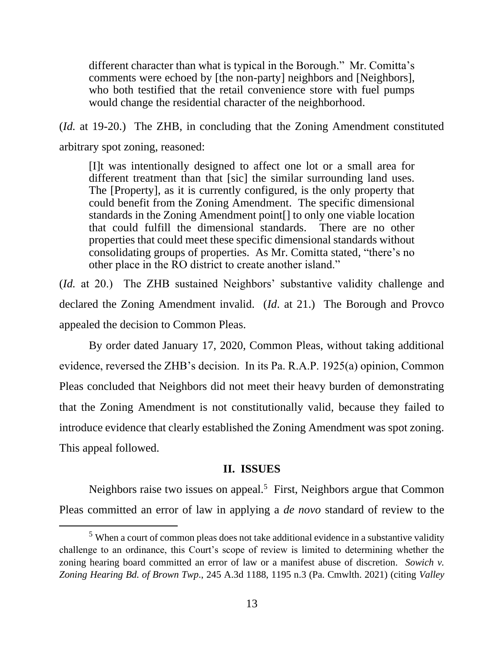different character than what is typical in the Borough." Mr. Comitta's comments were echoed by [the non-party] neighbors and [Neighbors], who both testified that the retail convenience store with fuel pumps would change the residential character of the neighborhood.

(*Id.* at 19-20.) The ZHB, in concluding that the Zoning Amendment constituted arbitrary spot zoning, reasoned:

[I]t was intentionally designed to affect one lot or a small area for different treatment than that [sic] the similar surrounding land uses. The [Property], as it is currently configured, is the only property that could benefit from the Zoning Amendment. The specific dimensional standards in the Zoning Amendment point[] to only one viable location that could fulfill the dimensional standards. There are no other properties that could meet these specific dimensional standards without consolidating groups of properties. As Mr. Comitta stated, "there's no other place in the RO district to create another island."

(*Id.* at 20.) The ZHB sustained Neighbors' substantive validity challenge and declared the Zoning Amendment invalid. (*Id*. at 21.) The Borough and Provco appealed the decision to Common Pleas.

By order dated January 17, 2020, Common Pleas, without taking additional evidence, reversed the ZHB's decision. In its Pa. R.A.P. 1925(a) opinion, Common Pleas concluded that Neighbors did not meet their heavy burden of demonstrating that the Zoning Amendment is not constitutionally valid, because they failed to introduce evidence that clearly established the Zoning Amendment was spot zoning. This appeal followed.

### **II. ISSUES**

Neighbors raise two issues on appeal.<sup>5</sup> First, Neighbors argue that Common Pleas committed an error of law in applying a *de novo* standard of review to the

<sup>&</sup>lt;sup>5</sup> When a court of common pleas does not take additional evidence in a substantive validity challenge to an ordinance, this Court's scope of review is limited to determining whether the zoning hearing board committed an error of law or a manifest abuse of discretion. *Sowich v. Zoning Hearing Bd. of Brown Twp*., 245 A.3d 1188, 1195 n.3 (Pa. Cmwlth. 2021) (citing *Valley*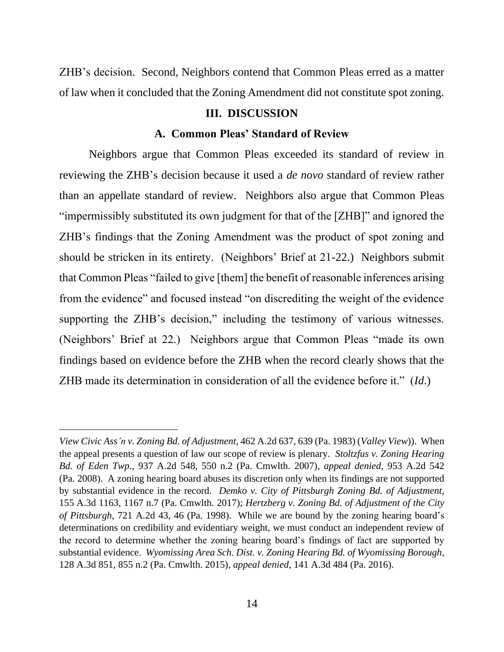ZHB's decision. Second, Neighbors contend that Common Pleas erred as a matter of law when it concluded that the Zoning Amendment did not constitute spot zoning.

# **III. DISCUSSION**

### **A. Common Pleas' Standard of Review**

Neighbors argue that Common Pleas exceeded its standard of review in reviewing the ZHB's decision because it used a *de novo* standard of review rather than an appellate standard of review. Neighbors also argue that Common Pleas "impermissibly substituted its own judgment for that of the [ZHB]" and ignored the ZHB's findings that the Zoning Amendment was the product of spot zoning and should be stricken in its entirety. (Neighbors' Brief at 21-22.) Neighbors submit that Common Pleas "failed to give [them] the benefit of reasonable inferences arising from the evidence" and focused instead "on discrediting the weight of the evidence supporting the ZHB's decision," including the testimony of various witnesses. (Neighbors' Brief at 22.) Neighbors argue that Common Pleas "made its own findings based on evidence before the ZHB when the record clearly shows that the ZHB made its determination in consideration of all the evidence before it." (*Id*.)

*View Civic Ass'n v. Zoning Bd. of Adjustment*, 462 A.2d 637, 639 (Pa. 1983) (*Valley View*)). When the appeal presents a question of law our scope of review is plenary. *Stoltzfus v. Zoning Hearing Bd. of Eden Twp.*, 937 A.2d 548, 550 n.2 (Pa. Cmwlth. 2007), *appeal denied*, 953 A.2d 542 (Pa. 2008). A zoning hearing board abuses its discretion only when its findings are not supported by substantial evidence in the record. *Demko v. City of Pittsburgh Zoning Bd. of Adjustment,* 155 A.3d 1163, 1167 n.7 (Pa. Cmwlth. 2017); *Hertzberg v. Zoning Bd. of Adjustment of the City of Pittsburgh*, 721 A.2d 43, 46 (Pa. 1998). While we are bound by the zoning hearing board's determinations on credibility and evidentiary weight, we must conduct an independent review of the record to determine whether the zoning hearing board's findings of fact are supported by substantial evidence. *Wyomissing Area Sch. Dist. v. Zoning Hearing Bd. of Wyomissing Borough*, 128 A.3d 851, 855 n.2 (Pa. Cmwlth. 2015), *appeal denied*, 141 A.3d 484 (Pa. 2016).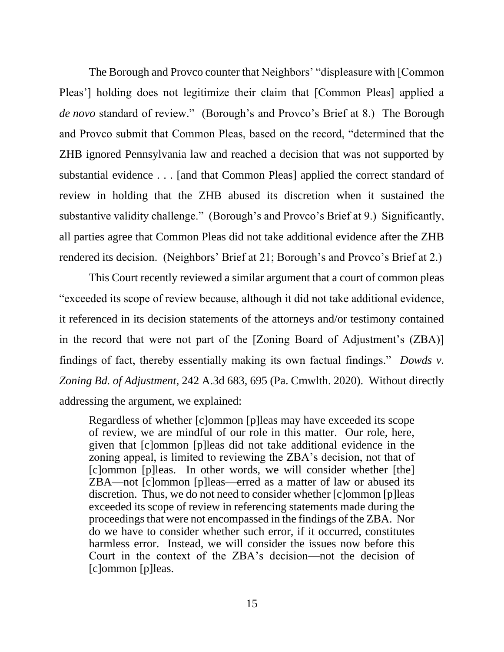The Borough and Provco counter that Neighbors' "displeasure with [Common Pleas'] holding does not legitimize their claim that [Common Pleas] applied a *de novo* standard of review." (Borough's and Provco's Brief at 8.) The Borough and Provco submit that Common Pleas, based on the record, "determined that the ZHB ignored Pennsylvania law and reached a decision that was not supported by substantial evidence . . . [and that Common Pleas] applied the correct standard of review in holding that the ZHB abused its discretion when it sustained the substantive validity challenge." (Borough's and Provco's Brief at 9.) Significantly, all parties agree that Common Pleas did not take additional evidence after the ZHB rendered its decision. (Neighbors' Brief at 21; Borough's and Provco's Brief at 2.)

This Court recently reviewed a similar argument that a court of common pleas "exceeded its scope of review because, although it did not take additional evidence, it referenced in its decision statements of the attorneys and/or testimony contained in the record that were not part of the [Zoning Board of Adjustment's (ZBA)] findings of fact, thereby essentially making its own factual findings." *Dowds v. Zoning Bd. of Adjustment*, 242 A.3d 683, 695 (Pa. Cmwlth. 2020). Without directly addressing the argument, we explained:

Regardless of whether [c]ommon [p]leas may have exceeded its scope of review, we are mindful of our role in this matter. Our role, here, given that [c]ommon [p]leas did not take additional evidence in the zoning appeal, is limited to reviewing the ZBA's decision, not that of [c]ommon [p]leas. In other words, we will consider whether [the] ZBA—not [c]ommon [p]leas—erred as a matter of law or abused its discretion. Thus, we do not need to consider whether [c]ommon [p]leas exceeded its scope of review in referencing statements made during the proceedings that were not encompassed in the findings of the ZBA. Nor do we have to consider whether such error, if it occurred, constitutes harmless error. Instead, we will consider the issues now before this Court in the context of the ZBA's decision—not the decision of [c]ommon [p]leas.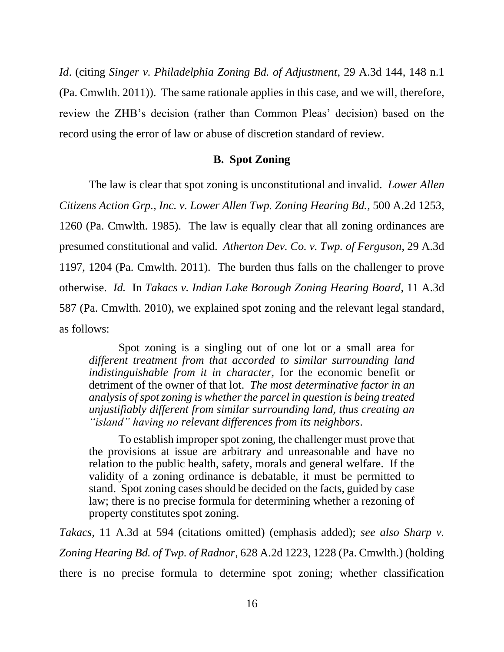*Id*. (citing *Singer v. Philadelphia Zoning Bd. of Adjustment*, 29 A.3d 144, 148 n.1 (Pa. Cmwlth. 2011)). The same rationale applies in this case, and we will, therefore, review the ZHB's decision (rather than Common Pleas' decision) based on the record using the error of law or abuse of discretion standard of review.

#### **B. Spot Zoning**

The law is clear that spot zoning is unconstitutional and invalid. *Lower Allen Citizens Action Grp., Inc. v. Lower Allen Twp. Zoning Hearing Bd.*, 500 A.2d 1253, 1260 (Pa. Cmwlth. 1985). The law is equally clear that all zoning ordinances are presumed constitutional and valid. *Atherton Dev. Co. v. Twp. of Ferguson*, 29 A.3d 1197, 1204 (Pa. Cmwlth. 2011). The burden thus falls on the challenger to prove otherwise. *Id.* In *Takacs v. Indian Lake Borough Zoning Hearing Board*, 11 A.3d 587 (Pa. Cmwlth. 2010), we explained spot zoning and the relevant legal standard, as follows:

Spot zoning is a singling out of one lot or a small area for *different treatment from that accorded to similar surrounding land indistinguishable from it in character*, for the economic benefit or detriment of the owner of that lot. *The most determinative factor in an analysis of spot zoning is whether the parcel in question is being treated unjustifiably different from similar surrounding land, thus creating an "island" having no relevant differences from its neighbors*.

To establish improper spot zoning, the challenger must prove that the provisions at issue are arbitrary and unreasonable and have no relation to the public health, safety, morals and general welfare. If the validity of a zoning ordinance is debatable, it must be permitted to stand. Spot zoning cases should be decided on the facts, guided by case law; there is no precise formula for determining whether a rezoning of property constitutes spot zoning.

*Takacs*, 11 A.3d at 594 (citations omitted) (emphasis added); *see also Sharp v. Zoning Hearing Bd. of Twp. of Radnor*, 628 A.2d 1223, 1228 (Pa. Cmwlth.) (holding there is no precise formula to determine spot zoning; whether classification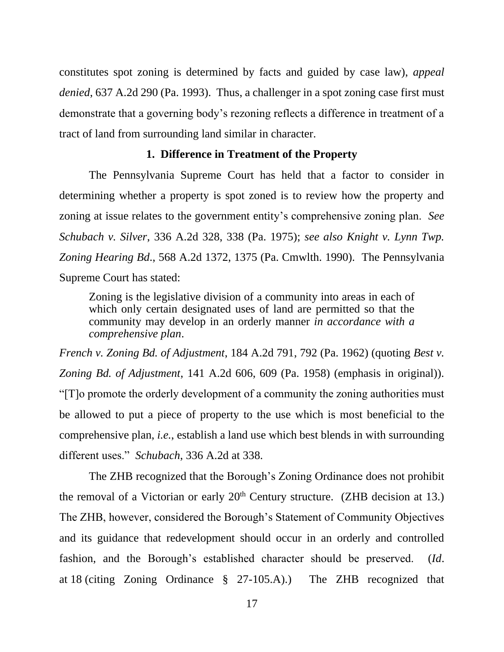constitutes spot zoning is determined by facts and guided by case law), *appeal denied*, 637 A.2d 290 (Pa. 1993). Thus, a challenger in a spot zoning case first must demonstrate that a governing body's rezoning reflects a difference in treatment of a tract of land from surrounding land similar in character.

## **1. Difference in Treatment of the Property**

The Pennsylvania Supreme Court has held that a factor to consider in determining whether a property is spot zoned is to review how the property and zoning at issue relates to the government entity's comprehensive zoning plan. *See Schubach v. Silver*, 336 A.2d 328, 338 (Pa. 1975); *see also Knight v. Lynn Twp. Zoning Hearing Bd*., 568 A.2d 1372, 1375 (Pa. Cmwlth. 1990). The Pennsylvania Supreme Court has stated:

Zoning is the legislative division of a community into areas in each of which only certain designated uses of land are permitted so that the community may develop in an orderly manner *in accordance with a comprehensive plan*.

*French v. Zoning Bd. of Adjustment*, 184 A.2d 791, 792 (Pa. 1962) (quoting *Best v. Zoning Bd. of Adjustment*, 141 A.2d 606, 609 (Pa. 1958) (emphasis in original)). "[T]o promote the orderly development of a community the zoning authorities must be allowed to put a piece of property to the use which is most beneficial to the comprehensive plan, *i.e.*, establish a land use which best blends in with surrounding different uses." *Schubach*, 336 A.2d at 338.

The ZHB recognized that the Borough's Zoning Ordinance does not prohibit the removal of a Victorian or early  $20<sup>th</sup>$  Century structure. (ZHB decision at 13.) The ZHB, however, considered the Borough's Statement of Community Objectives and its guidance that redevelopment should occur in an orderly and controlled fashion, and the Borough's established character should be preserved. (*Id*. at 18 (citing Zoning Ordinance § 27-105.A).) The ZHB recognized that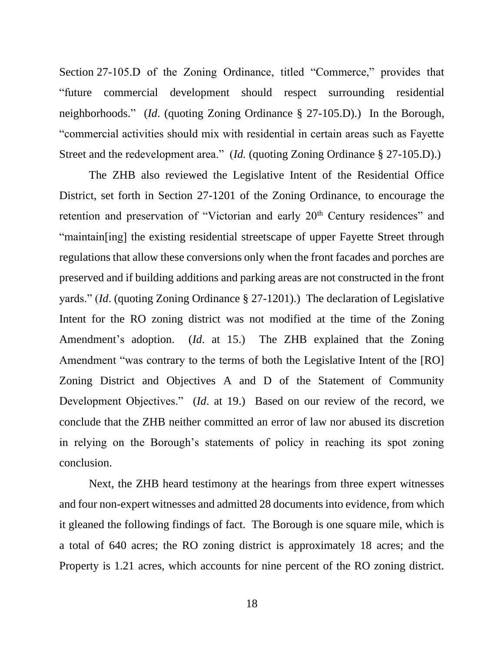Section 27-105.D of the Zoning Ordinance, titled "Commerce," provides that "future commercial development should respect surrounding residential neighborhoods." (*Id*. (quoting Zoning Ordinance § 27-105.D).) In the Borough, "commercial activities should mix with residential in certain areas such as Fayette Street and the redevelopment area." (*Id.* (quoting Zoning Ordinance § 27-105.D).)

The ZHB also reviewed the Legislative Intent of the Residential Office District, set forth in Section 27-1201 of the Zoning Ordinance, to encourage the retention and preservation of "Victorian and early 20<sup>th</sup> Century residences" and "maintain[ing] the existing residential streetscape of upper Fayette Street through regulations that allow these conversions only when the front facades and porches are preserved and if building additions and parking areas are not constructed in the front yards." (*Id*. (quoting Zoning Ordinance § 27-1201).) The declaration of Legislative Intent for the RO zoning district was not modified at the time of the Zoning Amendment's adoption. (*Id*. at 15.) The ZHB explained that the Zoning Amendment "was contrary to the terms of both the Legislative Intent of the [RO] Zoning District and Objectives A and D of the Statement of Community Development Objectives." (*Id*. at 19.) Based on our review of the record, we conclude that the ZHB neither committed an error of law nor abused its discretion in relying on the Borough's statements of policy in reaching its spot zoning conclusion.

Next, the ZHB heard testimony at the hearings from three expert witnesses and four non-expert witnesses and admitted 28 documents into evidence, from which it gleaned the following findings of fact. The Borough is one square mile, which is a total of 640 acres; the RO zoning district is approximately 18 acres; and the Property is 1.21 acres, which accounts for nine percent of the RO zoning district.

18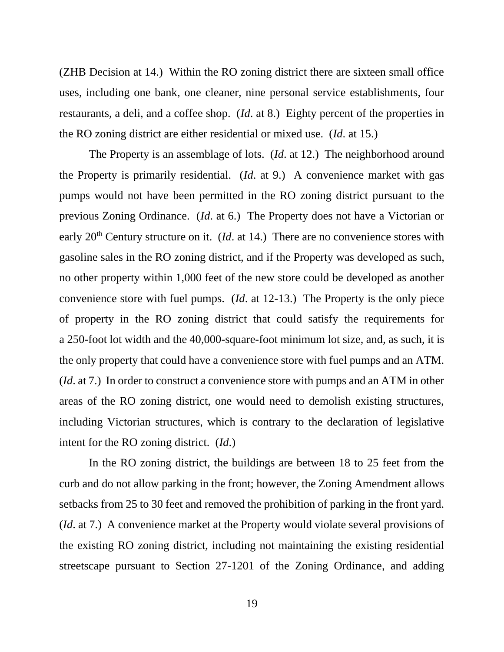(ZHB Decision at 14.) Within the RO zoning district there are sixteen small office uses, including one bank, one cleaner, nine personal service establishments, four restaurants, a deli, and a coffee shop. (*Id*. at 8.) Eighty percent of the properties in the RO zoning district are either residential or mixed use. (*Id*. at 15.)

The Property is an assemblage of lots. (*Id*. at 12.) The neighborhood around the Property is primarily residential. (*Id*. at 9.) A convenience market with gas pumps would not have been permitted in the RO zoning district pursuant to the previous Zoning Ordinance. (*Id*. at 6.) The Property does not have a Victorian or early 20<sup>th</sup> Century structure on it. (*Id.* at 14.) There are no convenience stores with gasoline sales in the RO zoning district, and if the Property was developed as such, no other property within 1,000 feet of the new store could be developed as another convenience store with fuel pumps. (*Id*. at 12-13.) The Property is the only piece of property in the RO zoning district that could satisfy the requirements for a 250-foot lot width and the 40,000-square-foot minimum lot size, and, as such, it is the only property that could have a convenience store with fuel pumps and an ATM. (*Id*. at 7.) In order to construct a convenience store with pumps and an ATM in other areas of the RO zoning district, one would need to demolish existing structures, including Victorian structures, which is contrary to the declaration of legislative intent for the RO zoning district. (*Id*.)

In the RO zoning district, the buildings are between 18 to 25 feet from the curb and do not allow parking in the front; however, the Zoning Amendment allows setbacks from 25 to 30 feet and removed the prohibition of parking in the front yard. (*Id*. at 7.) A convenience market at the Property would violate several provisions of the existing RO zoning district, including not maintaining the existing residential streetscape pursuant to Section 27-1201 of the Zoning Ordinance, and adding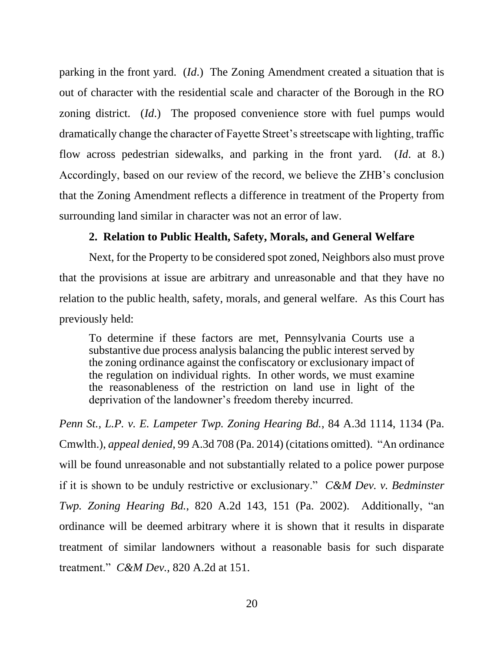parking in the front yard. (*Id*.) The Zoning Amendment created a situation that is out of character with the residential scale and character of the Borough in the RO zoning district. (*Id*.) The proposed convenience store with fuel pumps would dramatically change the character of Fayette Street's streetscape with lighting, traffic flow across pedestrian sidewalks, and parking in the front yard. (*Id*. at 8.) Accordingly, based on our review of the record, we believe the ZHB's conclusion that the Zoning Amendment reflects a difference in treatment of the Property from surrounding land similar in character was not an error of law.

# **2. Relation to Public Health, Safety, Morals, and General Welfare**

Next, for the Property to be considered spot zoned, Neighbors also must prove that the provisions at issue are arbitrary and unreasonable and that they have no relation to the public health, safety, morals, and general welfare. As this Court has previously held:

To determine if these factors are met, Pennsylvania Courts use a substantive due process analysis balancing the public interest served by the zoning ordinance against the confiscatory or exclusionary impact of the regulation on individual rights. In other words, we must examine the reasonableness of the restriction on land use in light of the deprivation of the landowner's freedom thereby incurred.

*Penn St., L.P. v. E. Lampeter Twp. Zoning Hearing Bd.*, 84 A.3d 1114, 1134 (Pa. Cmwlth.), *appeal denied*, 99 A.3d 708 (Pa. 2014) (citations omitted). "An ordinance will be found unreasonable and not substantially related to a police power purpose if it is shown to be unduly restrictive or exclusionary." *C&M Dev. v. Bedminster Twp. Zoning Hearing Bd.*, 820 A.2d 143, 151 (Pa. 2002). Additionally, "an ordinance will be deemed arbitrary where it is shown that it results in disparate treatment of similar landowners without a reasonable basis for such disparate treatment." *C&M Dev.*, 820 A.2d at 151.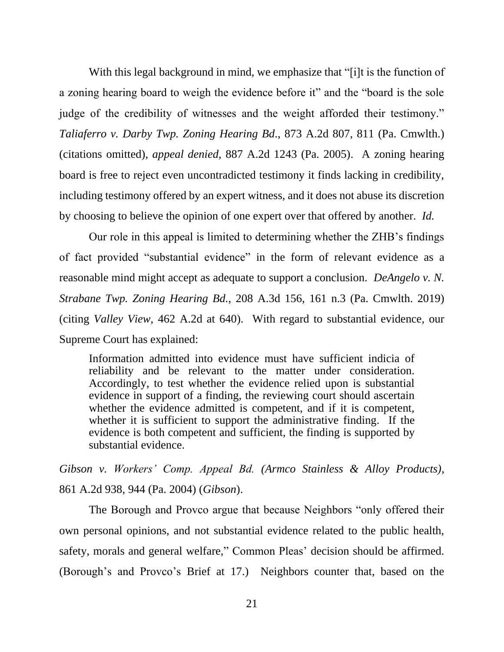With this legal background in mind, we emphasize that "[i]t is the function of a zoning hearing board to weigh the evidence before it" and the "board is the sole judge of the credibility of witnesses and the weight afforded their testimony." *Taliaferro v. Darby Twp. Zoning Hearing Bd*., 873 A.2d 807, 811 (Pa. Cmwlth.) (citations omitted), *appeal denied*, 887 A.2d 1243 (Pa. 2005). A zoning hearing board is free to reject even uncontradicted testimony it finds lacking in credibility, including testimony offered by an expert witness, and it does not abuse its discretion by choosing to believe the opinion of one expert over that offered by another. *Id.*

Our role in this appeal is limited to determining whether the ZHB's findings of fact provided "substantial evidence" in the form of relevant evidence as a reasonable mind might accept as adequate to support a conclusion. *DeAngelo v. N. Strabane Twp. Zoning Hearing Bd.*, 208 A.3d 156, 161 n.3 (Pa. Cmwlth. 2019) (citing *Valley View*, 462 A.2d at 640). With regard to substantial evidence, our Supreme Court has explained:

Information admitted into evidence must have sufficient indicia of reliability and be relevant to the matter under consideration. Accordingly, to test whether the evidence relied upon is substantial evidence in support of a finding, the reviewing court should ascertain whether the evidence admitted is competent, and if it is competent, whether it is sufficient to support the administrative finding. If the evidence is both competent and sufficient, the finding is supported by substantial evidence.

*Gibson v. Workers' Comp. Appeal Bd. (Armco Stainless & Alloy Products)*, 861 A.2d 938, 944 (Pa. 2004) (*Gibson*).

The Borough and Provco argue that because Neighbors "only offered their own personal opinions, and not substantial evidence related to the public health, safety, morals and general welfare," Common Pleas' decision should be affirmed. (Borough's and Provco's Brief at 17.) Neighbors counter that, based on the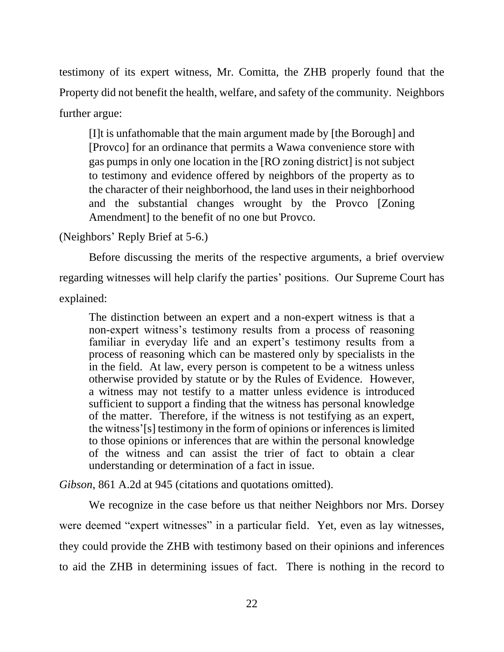testimony of its expert witness, Mr. Comitta, the ZHB properly found that the Property did not benefit the health, welfare, and safety of the community. Neighbors further argue:

[I]t is unfathomable that the main argument made by [the Borough] and [Provco] for an ordinance that permits a Wawa convenience store with gas pumps in only one location in the [RO zoning district] is not subject to testimony and evidence offered by neighbors of the property as to the character of their neighborhood, the land uses in their neighborhood and the substantial changes wrought by the Provco [Zoning Amendment] to the benefit of no one but Provco.

(Neighbors' Reply Brief at 5-6.)

Before discussing the merits of the respective arguments, a brief overview regarding witnesses will help clarify the parties' positions. Our Supreme Court has explained:

The distinction between an expert and a non-expert witness is that a non-expert witness's testimony results from a process of reasoning familiar in everyday life and an expert's testimony results from a process of reasoning which can be mastered only by specialists in the in the field. At law, every person is competent to be a witness unless otherwise provided by statute or by the Rules of Evidence. However, a witness may not testify to a matter unless evidence is introduced sufficient to support a finding that the witness has personal knowledge of the matter. Therefore, if the witness is not testifying as an expert, the witness'[s] testimony in the form of opinions or inferences is limited to those opinions or inferences that are within the personal knowledge of the witness and can assist the trier of fact to obtain a clear understanding or determination of a fact in issue.

*Gibson*, 861 A.2d at 945 (citations and quotations omitted).

We recognize in the case before us that neither Neighbors nor Mrs. Dorsey were deemed "expert witnesses" in a particular field. Yet, even as lay witnesses, they could provide the ZHB with testimony based on their opinions and inferences to aid the ZHB in determining issues of fact. There is nothing in the record to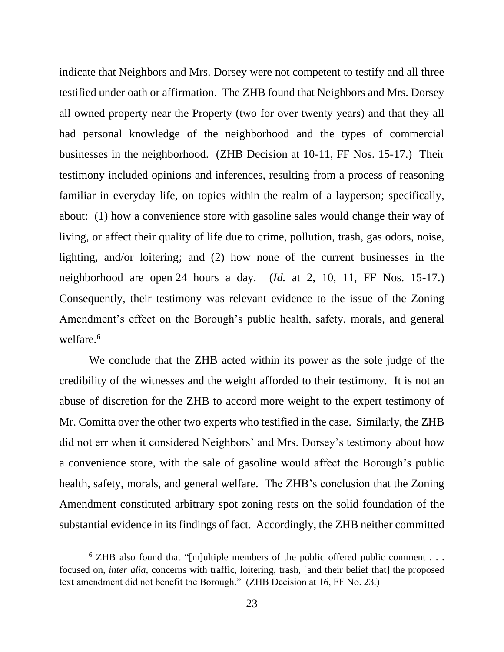indicate that Neighbors and Mrs. Dorsey were not competent to testify and all three testified under oath or affirmation. The ZHB found that Neighbors and Mrs. Dorsey all owned property near the Property (two for over twenty years) and that they all had personal knowledge of the neighborhood and the types of commercial businesses in the neighborhood. (ZHB Decision at 10-11, FF Nos. 15-17.) Their testimony included opinions and inferences, resulting from a process of reasoning familiar in everyday life, on topics within the realm of a layperson; specifically, about: (1) how a convenience store with gasoline sales would change their way of living, or affect their quality of life due to crime, pollution, trash, gas odors, noise, lighting, and/or loitering; and (2) how none of the current businesses in the neighborhood are open 24 hours a day. (*Id.* at 2, 10, 11, FF Nos. 15-17.) Consequently, their testimony was relevant evidence to the issue of the Zoning Amendment's effect on the Borough's public health, safety, morals, and general welfare.<sup>6</sup>

We conclude that the ZHB acted within its power as the sole judge of the credibility of the witnesses and the weight afforded to their testimony. It is not an abuse of discretion for the ZHB to accord more weight to the expert testimony of Mr. Comitta over the other two experts who testified in the case. Similarly, the ZHB did not err when it considered Neighbors' and Mrs. Dorsey's testimony about how a convenience store, with the sale of gasoline would affect the Borough's public health, safety, morals, and general welfare. The ZHB's conclusion that the Zoning Amendment constituted arbitrary spot zoning rests on the solid foundation of the substantial evidence in its findings of fact. Accordingly, the ZHB neither committed

 $6$  ZHB also found that "[m]ultiple members of the public offered public comment . . . focused on, *inter alia*, concerns with traffic, loitering, trash, [and their belief that] the proposed text amendment did not benefit the Borough." (ZHB Decision at 16, FF No. 23.)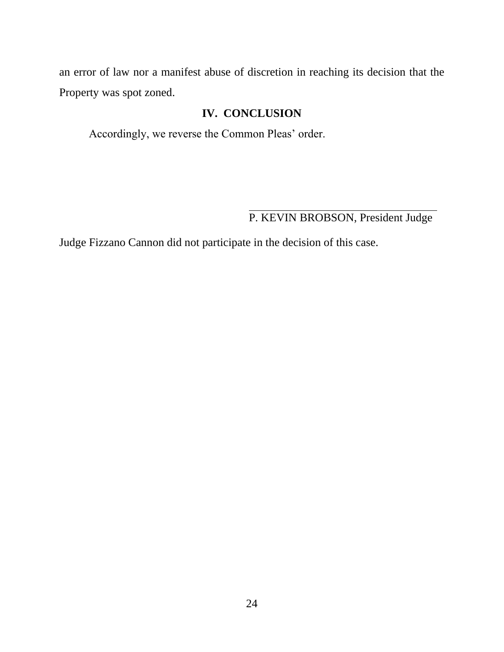an error of law nor a manifest abuse of discretion in reaching its decision that the Property was spot zoned.

# **IV. CONCLUSION**

Accordingly, we reverse the Common Pleas' order.

P. KEVIN BROBSON, President Judge

Judge Fizzano Cannon did not participate in the decision of this case.